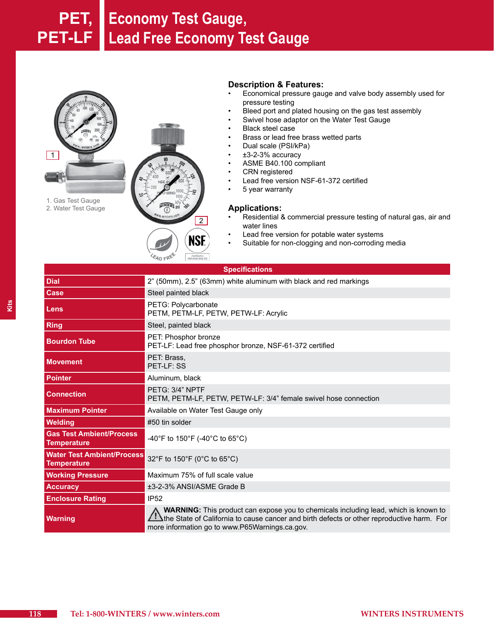## **PET, Economy Test Gauge, PET-LF Lead Free Economy Test Gauge**



**EAD FREE** 

#### **Description & Features:**

- Economical pressure gauge and valve body assembly used for pressure testing
- Bleed port and plated housing on the gas test assembly
- Swivel hose adaptor on the Water Test Gauge
- **Black steel case**
- Brass or lead free brass wetted parts
- Dual scale (PSI/kPa)
- $±3-2-3%$  accuracy
- ASME B40.100 compliant
- **CRN** registered
- Lead free version NSF-61-372 certified
- • 5 year warranty

#### **Applications:**

- Residential & commercial pressure testing of natural gas, air and water lines
- Lead free version for potable water systems
- • Suitable for non-clogging and non-corroding media

| <b>Specifications</b>                                   |                                                                                                                                                                                                                                    |  |  |
|---------------------------------------------------------|------------------------------------------------------------------------------------------------------------------------------------------------------------------------------------------------------------------------------------|--|--|
| <b>Dial</b>                                             | 2" (50mm), 2.5" (63mm) white aluminum with black and red markings                                                                                                                                                                  |  |  |
| Case                                                    | Steel painted black                                                                                                                                                                                                                |  |  |
| Lens                                                    | PETG: Polycarbonate<br>PETM, PETM-LF, PETW, PETW-LF: Acrylic                                                                                                                                                                       |  |  |
| <b>Ring</b>                                             | Steel, painted black                                                                                                                                                                                                               |  |  |
| <b>Bourdon Tube</b>                                     | PET: Phosphor bronze<br>PET-LF: Lead free phosphor bronze, NSF-61-372 certified                                                                                                                                                    |  |  |
| <b>Movement</b>                                         | PET: Brass,<br>PET-LF: SS                                                                                                                                                                                                          |  |  |
| <b>Pointer</b>                                          | Aluminum, black                                                                                                                                                                                                                    |  |  |
| <b>Connection</b>                                       | PETG: 3/4" NPTF<br>PETM, PETM-LF, PETW, PETW-LF: 3/4" female swivel hose connection                                                                                                                                                |  |  |
| <b>Maximum Pointer</b>                                  | Available on Water Test Gauge only                                                                                                                                                                                                 |  |  |
| <b>Welding</b>                                          | #50 tin solder                                                                                                                                                                                                                     |  |  |
| <b>Gas Test Ambient/Process</b><br><b>Temperature</b>   | -40°F to 150°F (-40°C to 65°C)                                                                                                                                                                                                     |  |  |
| <b>Water Test Ambient/Process</b><br><b>Temperature</b> | 32°F to 150°F (0°C to 65°C)                                                                                                                                                                                                        |  |  |
| <b>Working Pressure</b>                                 | Maximum 75% of full scale value                                                                                                                                                                                                    |  |  |
| <b>Accuracy</b>                                         | ±3-2-3% ANSI/ASME Grade B                                                                                                                                                                                                          |  |  |
| <b>Enclosure Rating</b>                                 | <b>IP52</b>                                                                                                                                                                                                                        |  |  |
| <b>Warning</b>                                          | WARNING: This product can expose you to chemicals including lead, which is known to<br>the State of California to cause cancer and birth defects or other reproductive harm. For<br>more information go to www.P65Warnings.ca.gov. |  |  |